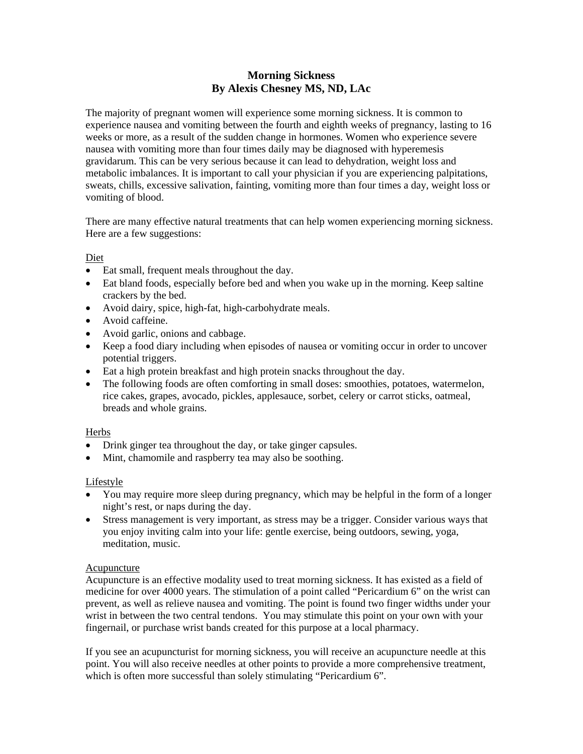## **Morning Sickness By Alexis Chesney MS, ND, LAc**

The majority of pregnant women will experience some morning sickness. It is common to experience nausea and vomiting between the fourth and eighth weeks of pregnancy, lasting to 16 weeks or more, as a result of the sudden change in hormones. Women who experience severe nausea with vomiting more than four times daily may be diagnosed with hyperemesis gravidarum. This can be very serious because it can lead to dehydration, weight loss and metabolic imbalances. It is important to call your physician if you are experiencing palpitations, sweats, chills, excessive salivation, fainting, vomiting more than four times a day, weight loss or vomiting of blood.

There are many effective natural treatments that can help women experiencing morning sickness. Here are a few suggestions:

Diet

- Eat small, frequent meals throughout the day.
- Eat bland foods, especially before bed and when you wake up in the morning. Keep saltine crackers by the bed.
- Avoid dairy, spice, high-fat, high-carbohydrate meals.
- Avoid caffeine.
- Avoid garlic, onions and cabbage.
- Keep a food diary including when episodes of nausea or vomiting occur in order to uncover potential triggers.
- Eat a high protein breakfast and high protein snacks throughout the day.
- The following foods are often comforting in small doses: smoothies, potatoes, watermelon, rice cakes, grapes, avocado, pickles, applesauce, sorbet, celery or carrot sticks, oatmeal, breads and whole grains.

## **Herbs**

- Drink ginger tea throughout the day, or take ginger capsules.
- Mint, chamomile and raspberry tea may also be soothing.

## Lifestyle

- You may require more sleep during pregnancy, which may be helpful in the form of a longer night's rest, or naps during the day.
- Stress management is very important, as stress may be a trigger. Consider various ways that you enjoy inviting calm into your life: gentle exercise, being outdoors, sewing, yoga, meditation, music.

## Acupuncture

Acupuncture is an effective modality used to treat morning sickness. It has existed as a field of medicine for over 4000 years. The stimulation of a point called "Pericardium 6" on the wrist can prevent, as well as relieve nausea and vomiting. The point is found two finger widths under your wrist in between the two central tendons. You may stimulate this point on your own with your fingernail, or purchase wrist bands created for this purpose at a local pharmacy.

If you see an acupuncturist for morning sickness, you will receive an acupuncture needle at this point. You will also receive needles at other points to provide a more comprehensive treatment, which is often more successful than solely stimulating "Pericardium 6".